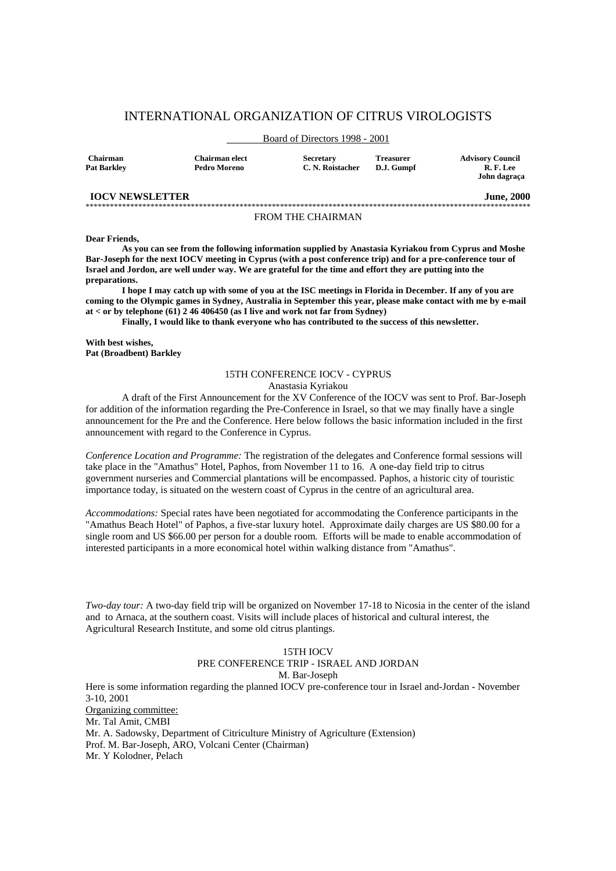# INTERNATIONAL ORGANIZATION OF CITRUS VIROLOGISTS

# Board of Directors 1998 - 2001

| <b>Chairman</b> | <b>Chairman elect</b> | <b>Secretary</b> | <b>Treasurer</b> | <b>Advisory Council</b> |
|-----------------|-----------------------|------------------|------------------|-------------------------|
| Pat Barklev     | Pedro Moreno          | C. N. Roistacher | D.J. Gumpf       | R.F.Lee                 |
|                 |                       |                  |                  | John dagraça            |

#### **IOCV NEWSLETTER** June, 2000 \*\*\*\*\*\*\*\*\*\*\*\*\*\*\*\*\*\*\*\*\*\*\*\*\*\*\*\*\*\*\*\*\*\*\*\*\*\*\*\*\*\*\*\*\*\*\*\*\*\*\*\*\*\*\*\*\*\*\*\*\*\*\*\*\*\*\*\*\*\*\*\*\*\*\*\*\*\*\*\*\*\*\*\*\*\*\*\*\*\*\*\*\*\*\*\*\*\*\*\*\*\*\*\*\*\*\*\*\*\*

# FROM THE CHAIRMAN

#### **Dear Friends,**

 **As you can see from the following information supplied by Anastasia Kyriakou from Cyprus and Moshe Bar-Joseph for the next IOCV meeting in Cyprus (with a post conference trip) and for a pre-conference tour of Israel and Jordon, are well under way. We are grateful for the time and effort they are putting into the preparations.** 

 **I hope I may catch up with some of you at the ISC meetings in Florida in December. If any of you are coming to the Olympic games in Sydney, Australia in September this year, please make contact with me by e-mail at < or by telephone (61) 2 46 406450 (as I live and work not far from Sydney)** 

 **Finally, I would like to thank everyone who has contributed to the success of this newsletter.** 

**With best wishes, Pat (Broadbent) Barkley** 

# 15TH CONFERENCE IOCV - CYPRUS Anastasia Kyriakou

 A draft of the First Announcement for the XV Conference of the IOCV was sent to Prof. Bar-Joseph for addition of the information regarding the Pre-Conference in Israel, so that we may finally have a single announcement for the Pre and the Conference. Here below follows the basic information included in the first announcement with regard to the Conference in Cyprus.

*Conference Location and Programme:* The registration of the delegates and Conference formal sessions will take place in the "Amathus" Hotel, Paphos, from November 11 to 16. A one-day field trip to citrus government nurseries and Commercial plantations will be encompassed. Paphos, a historic city of touristic importance today, is situated on the western coast of Cyprus in the centre of an agricultural area.

*Accommodations:* Special rates have been negotiated for accommodating the Conference participants in the "Amathus Beach Hotel" of Paphos, a five-star luxury hotel. Approximate daily charges are US \$80.00 for a single room and US \$66.00 per person for a double room. Efforts will be made to enable accommodation of interested participants in a more economical hotel within walking distance from "Amathus".

*Two-day tour:* A two-day field trip will be organized on November 17-18 to Nicosia in the center of the island and to Arnaca, at the southern coast. Visits will include places of historical and cultural interest, the Agricultural Research Institute, and some old citrus plantings.

# 15TH IOCV

# PRE CONFERENCE TRIP - ISRAEL AND JORDAN

M. Bar-Joseph

Here is some information regarding the planned IOCV pre-conference tour in Israel and-Jordan - November 3-10, 2001 Organizing committee: Mr. Tal Amit, CMBI Mr. A. Sadowsky, Department of Citriculture Ministry of Agriculture (Extension) Prof. M. Bar-Joseph, ARO, Volcani Center (Chairman)

Mr. Y Kolodner, Pelach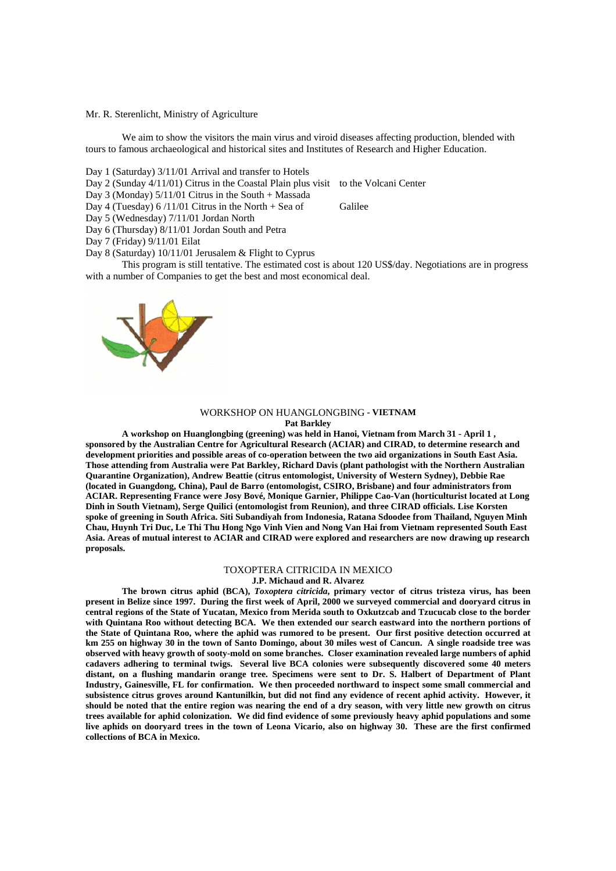# Mr. R. Sterenlicht, Ministry of Agriculture

We aim to show the visitors the main virus and viroid diseases affecting production, blended with tours to famous archaeological and historical sites and Institutes of Research and Higher Education.

Day 1 (Saturday) 3/11/01 Arrival and transfer to Hotels

- Day 2 (Sunday 4/11/01) Citrus in the Coastal Plain plus visit to the Volcani Center
- Day 3 (Monday)  $5/11/01$  Citrus in the South + Massada

Day 4 (Tuesday)  $6/11/01$  Citrus in the North + Sea of Galilee

Day 5 (Wednesday) 7/11/01 Jordan North

Day 6 (Thursday) 8/11/01 Jordan South and Petra

- Day 7 (Friday) 9/11/01 Eilat
- Day 8 (Saturday) 10/11/01 Jerusalem & Flight to Cyprus

 This program is still tentative. The estimated cost is about 120 US\$/day. Negotiations are in progress with a number of Companies to get the best and most economical deal.

# WORKSHOP ON HUANGLONGBING **- VIETNAM Pat Barkley**

 **A workshop on Huanglongbing (greening) was held in Hanoi, Vietnam from March 31 - April 1 , sponsored by the Australian Centre for Agricultural Research (ACIAR) and CIRAD, to determine research and development priorities and possible areas of co-operation between the two aid organizations in South East Asia. Those attending from Australia were Pat Barkley, Richard Davis (plant pathologist with the Northern Australian Quarantine Organization), Andrew Beattie (citrus entomologist, University of Western Sydney), Debbie Rae (located in Guangdong, China), Paul de Barro (entomologist, CSIRO, Brisbane) and four administrators from ACIAR. Representing France were Josy Bové, Monique Garnier, Philippe Cao-Van (horticulturist located at Long Dinh in South Vietnam), Serge Quilici (entomologist from Reunion), and three CIRAD officials. Lise Korsten spoke of greening in South Africa. Siti Subandiyah from Indonesia, Ratana Sdoodee from Thailand, Nguyen Minh Chau, Huynh Tri Duc, Le Thi Thu Hong Ngo Vinh Vien and Nong Van Hai from Vietnam represented South East Asia. Areas of mutual interest to ACIAR and CIRAD were explored and researchers are now drawing up research proposals.** 

# TOXOPTERA CITRICIDA IN MEXICO

**J.P. Michaud and R. Alvarez** 

 **The brown citrus aphid (BCA),** *Toxoptera citricida***, primary vector of citrus tristeza virus, has been present in Belize since 1997. During the first week of April, 2000 we surveyed commercial and dooryard citrus in central regions of the State of Yucatan, Mexico from Merida south to Oxkutzcab and Tzucucab close to the border with Quintana Roo without detecting BCA. We then extended our search eastward into the northern portions of the State of Quintana Roo, where the aphid was rumored to be present. Our first positive detection occurred at km 255 on highway 30 in the town of Santo Domingo, about 30 miles west of Cancun. A single roadside tree was observed with heavy growth of sooty-mold on some branches. Closer examination revealed large numbers of aphid cadavers adhering to terminal twigs. Several live BCA colonies were subsequently discovered some 40 meters distant, on a flushing mandarin orange tree. Specimens were sent to Dr. S. Halbert of Department of Plant Industry, Gainesville, FL for confirmation. We then proceeded northward to inspect some small commercial and subsistence citrus groves around Kantunilkin, but did not find any evidence of recent aphid activity. However, it should be noted that the entire region was nearing the end of a dry season, with very little new growth on citrus trees available for aphid colonization. We did find evidence of some previously heavy aphid populations and some live aphids on dooryard trees in the town of Leona Vicario, also on highway 30. These are the first confirmed collections of BCA in Mexico.** 

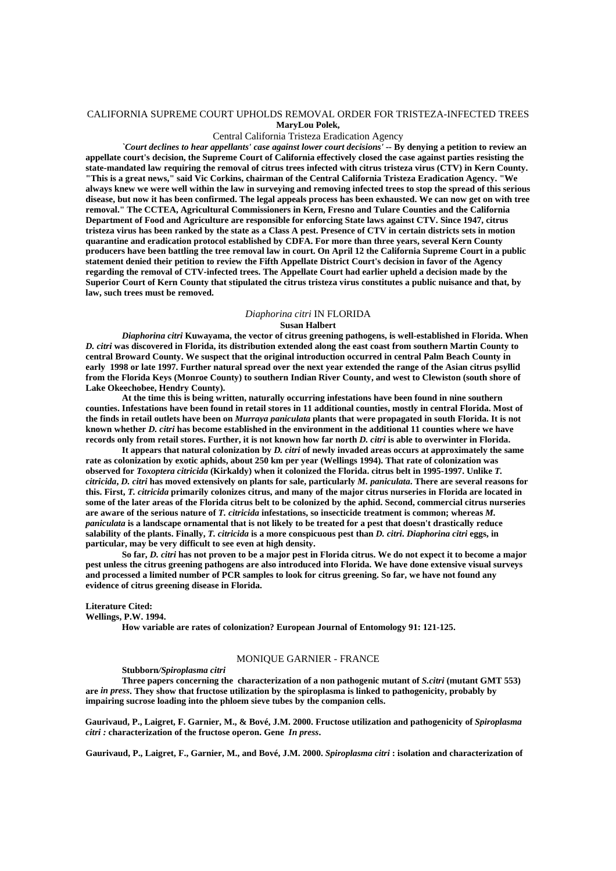# CALIFORNIA SUPREME COURT UPHOLDS REMOVAL ORDER FOR TRISTEZA-INFECTED TREES **MaryLou Polek,**

# Central California Tristeza Eradication Agency

*`Court declines to hear appellants' case against lower court decisions'* **-- By denying a petition to review an appellate court's decision, the Supreme Court of California effectively closed the case against parties resisting the state-mandated law requiring the removal of citrus trees infected with citrus tristeza virus (CTV) in Kern County. "This is a great news," said Vic Corkins, chairman of the Central California Tristeza Eradication Agency. "We always knew we were well within the law in surveying and removing infected trees to stop the spread of this serious disease, but now it has been confirmed. The legal appeals process has been exhausted. We can now get on with tree removal." The CCTEA, Agricultural Commissioners in Kern, Fresno and Tulare Counties and the California Department of Food and Agriculture are responsible for enforcing State laws against CTV. Since 1947, citrus tristeza virus has been ranked by the state as a Class A pest. Presence of CTV in certain districts sets in motion quarantine and eradication protocol established by CDFA. For more than three years, several Kern County producers have been battling the tree removal law in court. On April 12 the California Supreme Court in a public statement denied their petition to review the Fifth Appellate District Court's decision in favor of the Agency regarding the removal of CTV-infected trees. The Appellate Court had earlier upheld a decision made by the Superior Court of Kern County that stipulated the citrus tristeza virus constitutes a public nuisance and that, by law, such trees must be removed.** 

# *Diaphorina citri* IN FLORIDA

## **Susan Halbert**

*Diaphorina citri* **Kuwayama, the vector of citrus greening pathogens, is well-established in Florida. When**  *D. citri* **was discovered in Florida, its distribution extended along the east coast from southern Martin County to central Broward County. We suspect that the original introduction occurred in central Palm Beach County in early 1998 or late 1997. Further natural spread over the next year extended the range of the Asian citrus psyllid from the Florida Keys (Monroe County) to southern Indian River County, and west to Clewiston (south shore of Lake Okeechobee, Hendry County).** 

 **At the time this is being written, naturally occurring infestations have been found in nine southern counties. Infestations have been found in retail stores in 11 additional counties, mostly in central Florida. Most of the finds in retail outlets have been on** *Murraya paniculata* **plants that were propagated in south Florida. It is not known whether** *D. citri* **has become established in the environment in the additional 11 counties where we have records only from retail stores. Further, it is not known how far north** *D. citri* **is able to overwinter in Florida.** 

 **It appears that natural colonization by** *D. citri* **of newly invaded areas occurs at approximately the same rate as colonization by exotic aphids, about 250 km per year (Wellings 1994). That rate of colonization was observed for** *Toxoptera citricida* **(Kirkaldy) when it colonized the Florida. citrus belt in 1995-1997. Unlike** *T. citricida***,** *D. citri* **has moved extensively on plants for sale, particularly** *M. paniculata***. There are several reasons for this. First,** *T. citricida* **primarily colonizes citrus, and many of the major citrus nurseries in Florida are located in some of the later areas of the Florida citrus belt to be colonized by the aphid. Second, commercial citrus nurseries are aware of the serious nature of** *T. citricida* **infestations, so insecticide treatment is common; whereas** *M. paniculata* **is a landscape ornamental that is not likely to be treated for a pest that doesn't drastically reduce salability of the plants. Finally,** *T. citricida* **is a more conspicuous pest than** *D. citri***.** *Diaphorina citri* **eggs, in particular, may be very difficult to see even at high density.** 

 **So far,** *D. citri* **has not proven to be a major pest in Florida citrus. We do not expect it to become a major pest unless the citrus greening pathogens are also introduced into Florida. We have done extensive visual surveys and processed a limited number of PCR samples to look for citrus greening. So far, we have not found any evidence of citrus greening disease in Florida.** 

# **Literature Cited:**

**Wellings, P.W. 1994.** 

**How variable are rates of colonization? European Journal of Entomology 91: 121-125.** 

# MONIQUE GARNIER - FRANCE

 **Stubborn***/Spiroplasma citri* 

**Three papers concerning the characterization of a non pathogenic mutant of** *S.citri* **(mutant GMT 553) are** *in press***. They show that fructose utilization by the spiroplasma is linked to pathogenicity, probably by impairing sucrose loading into the phloem sieve tubes by the companion cells.** 

 **Gaurivaud, P., Laigret, F. Garnier, M., & Bové, J.M. 2000. Fructose utilization and pathogenicity of** *Spiroplasma citri :* **characterization of the fructose operon. Gene** *In press***.** 

**Gaurivaud, P., Laigret, F., Garnier, M., and Bové, J.M. 2000.** *Spiroplasma citri* **: isolation and characterization of**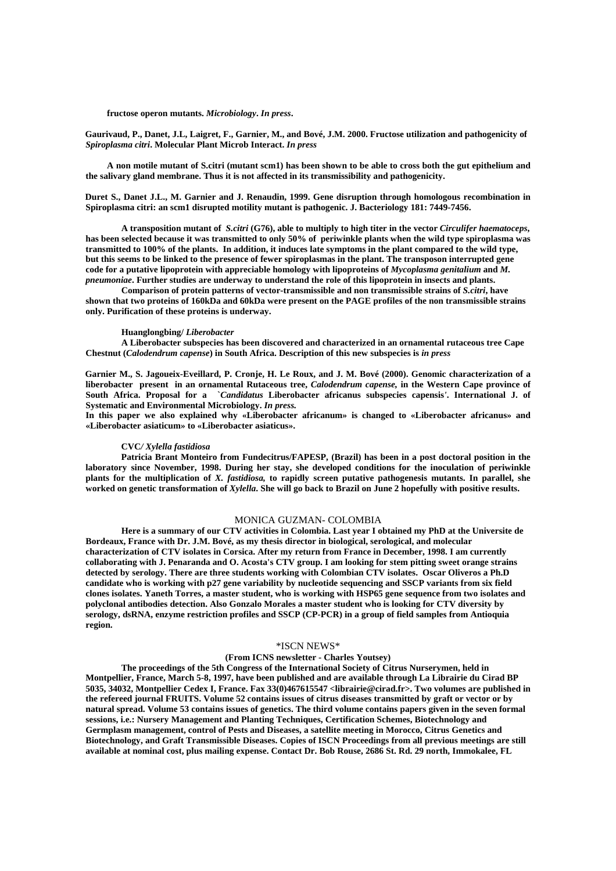**fructose operon mutants.** *Microbiology***.** *In press***.** 

 **Gaurivaud, P., Danet, J.L, Laigret, F., Garnier, M., and Bové, J.M. 2000. Fructose utilization and pathogenicity of**  *Spiroplasma citri***. Molecular Plant Microb Interact.** *In press*

 **A non motile mutant of S.citri (mutant scm1) has been shown to be able to cross both the gut epithelium and the salivary gland membrane. Thus it is not affected in its transmissibility and pathogenicity.** 

 **Duret S., Danet J.L., M. Garnier and J. Renaudin, 1999. Gene disruption through homologous recombination in Spiroplasma citri: an scm1 disrupted motility mutant is pathogenic. J. Bacteriology 181: 7449-7456.** 

 **A transposition mutant of** *S.citri* **(G76), able to multiply to high titer in the vector** *Circulifer haematoceps***, has been selected because it was transmitted to only 50% of periwinkle plants when the wild type spiroplasma was transmitted to 100% of the plants. In addition, it induces late symptoms in the plant compared to the wild type, but this seems to be linked to the presence of fewer spiroplasmas in the plant. The transposon interrupted gene code for a putative lipoprotein with appreciable homology with lipoproteins of** *Mycoplasma genitalium* **and** *M. pneumoniae***. Further studies are underway to understand the role of this lipoprotein in insects and plants.** 

 **Comparison of protein patterns of vector-transmissible and non transmissible strains of** *S.citri***, have shown that two proteins of 160kDa and 60kDa were present on the PAGE profiles of the non transmissible strains only. Purification of these proteins is underway.** 

#### **Huanglongbing/** *Liberobacter*

 **A Liberobacter subspecies has been discovered and characterized in an ornamental rutaceous tree Cape Chestnut (***Calodendrum capense***) in South Africa. Description of this new subspecies is** *in press*

 **Garnier M., S. Jagoueix-Eveillard, P. Cronje, H. Le Roux, and J. M. Bové (2000). Genomic characterization of a liberobacter present in an ornamental Rutaceous tree,** *Calodendrum capense,* **in the Western Cape province of South Africa. Proposal for a `***Candidatus* **Liberobacter africanus subspecies capensis***'***. International J. of Systematic and Environmental Microbiology.** *In press.* 

In this paper we also explained why «Liberobacter africanum» is changed to «Liberobacter africanus» and **«Liberobacter asiaticum» to «Liberobacter asiaticus».** 

# **CVC***/ Xylella fastidiosa*

 **Patricia Brant Monteiro from Fundecitrus/FAPESP, (Brazil) has been in a post doctoral position in the laboratory since November, 1998. During her stay, she developed conditions for the inoculation of periwinkle plants for the multiplication of** *X. fastidiosa,* **to rapidly screen putative pathogenesis mutants. In parallel, she worked on genetic transformation of** *Xylella***. She will go back to Brazil on June 2 hopefully with positive results.** 

# MONICA GUZMAN- COLOMBIA

 **Here is a summary of our CTV activities in Colombia. Last year I obtained my PhD at the Universite de Bordeaux, France with Dr. J.M. Bové, as my thesis director in biological, serological, and molecular characterization of CTV isolates in Corsica. After my return from France in December, 1998. I am currently collaborating with J. Penaranda and O. Acosta's CTV group. I am looking for stem pitting sweet orange strains detected by serology. There are three students working with Colombian CTV isolates. Oscar Oliveros a Ph.D candidate who is working with p27 gene variability by nucleotide sequencing and SSCP variants from six field clones isolates. Yaneth Torres, a master student, who is working with HSP65 gene sequence from two isolates and polyclonal antibodies detection. Also Gonzalo Morales a master student who is looking for CTV diversity by serology, dsRNA, enzyme restriction profiles and SSCP (CP-PCR) in a group of field samples from Antioquia region.** 

# \*ISCN NEWS\*

# **(From ICNS newsletter - Charles Youtsey)**

 **The proceedings of the 5th Congress of the International Society of Citrus Nurserymen, held in Montpellier, France, March 5-8, 1997, have been published and are available through La Librairie du Cirad BP 5035, 34032, Montpellier Cedex I, France. Fax 33(0)467615547 <librairie@cirad.fr>. Two volumes are published in the refereed journal FRUITS. Volume 52 contains issues of citrus diseases transmitted by graft or vector or by natural spread. Volume 53 contains issues of genetics. The third volume contains papers given in the seven formal sessions, i.e.: Nursery Management and Planting Techniques, Certification Schemes, Biotechnology and Germplasm management, control of Pests and Diseases, a satellite meeting in Morocco, Citrus Genetics and Biotechnology, and Graft Transmissible Diseases. Copies of ISCN Proceedings from all previous meetings are still available at nominal cost, plus mailing expense. Contact Dr. Bob Rouse, 2686 St. Rd. 29 north, Immokalee, FL**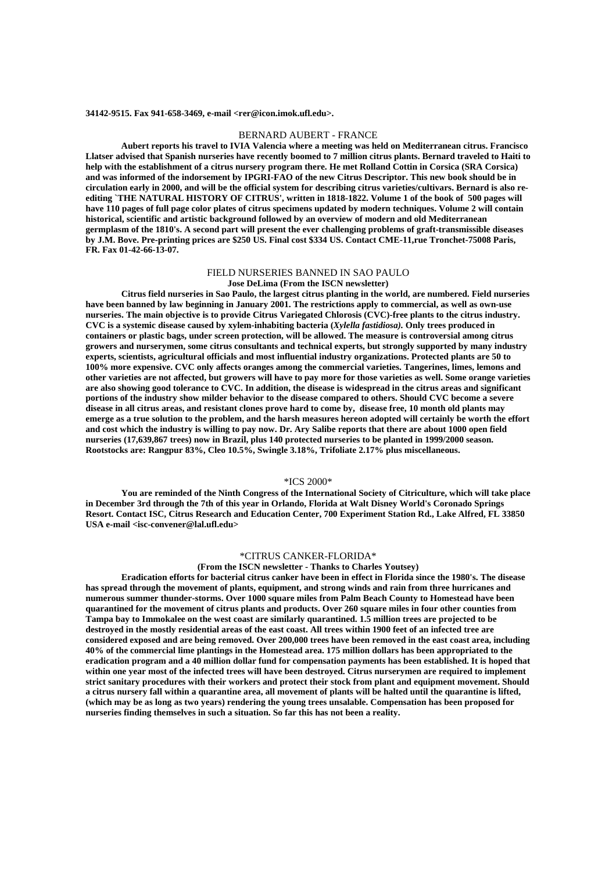#### **34142-9515. Fax 941-658-3469, e-mail <rer@icon.imok.ufl.edu>.**

# BERNARD AUBERT - FRANCE

 **Aubert reports his travel to IVIA Valencia where a meeting was held on Mediterranean citrus. Francisco Llatser advised that Spanish nurseries have recently boomed to 7 million citrus plants. Bernard traveled to Haiti to help with the establishment of a citrus nursery program there. He met Rolland Cottin in Corsica (SRA Corsica) and was informed of the indorsement by IPGRI-FAO of the new Citrus Descriptor. This new book should be in circulation early in 2000, and will be the official system for describing citrus varieties/cultivars. Bernard is also reediting `THE NATURAL HISTORY OF CITRUS', written in 1818-1822. Volume 1 of the book of 500 pages will have 110 pages of full page color plates of citrus specimens updated by modern techniques. Volume 2 will contain historical, scientific and artistic background followed by an overview of modern and old Mediterranean germplasm of the 1810's. A second part will present the ever challenging problems of graft-transmissible diseases by J.M. Bove. Pre-printing prices are \$250 US. Final cost \$334 US. Contact CME-11,rue Tronchet-75008 Paris, FR. Fax 01-42-66-13-07.** 

# FIELD NURSERIES BANNED IN SAO PAULO

#### **Jose DeLima (From the ISCN newsletter)**

 **Citrus field nurseries in Sao Paulo, the largest citrus planting in the world, are numbered. Field nurseries have been banned by law beginning in January 2001. The restrictions apply to commercial, as well as own-use nurseries. The main objective is to provide Citrus Variegated Chlorosis (CVC)-free plants to the citrus industry. CVC is a systemic disease caused by xylem-inhabiting bacteria (***Xylella fastidiosa).* **Only trees produced in containers or plastic bags, under screen protection, will be allowed. The measure is controversial among citrus growers and nurserymen, some citrus consultants and technical experts, but strongly supported by many industry experts, scientists, agricultural officials and most influential industry organizations. Protected plants are 50 to 100% more expensive. CVC only affects oranges among the commercial varieties. Tangerines, limes, lemons and other varieties are not affected, but growers will have to pay more for those varieties as well. Some orange varieties are also showing good tolerance to CVC. In addition, the disease is widespread in the citrus areas and significant portions of the industry show milder behavior to the disease compared to others. Should CVC become a severe disease in all citrus areas, and resistant clones prove hard to come by, disease free, 10 month old plants may emerge as a true solution to the problem, and the harsh measures hereon adopted will certainly be worth the effort and cost which the industry is willing to pay now. Dr. Ary Salibe reports that there are about 1000 open field nurseries (17,639,867 trees) now in Brazil, plus 140 protected nurseries to be planted in 1999/2000 season. Rootstocks are: Rangpur 83%, Cleo 10.5%, Swingle 3.18%, Trifoliate 2.17% plus miscellaneous.** 

## \*ICS 2000\*

 **You are reminded of the Ninth Congress of the International Society of Citriculture, which will take place in December 3rd through the 7th of this year in Orlando, Florida at Walt Disney World's Coronado Springs Resort. Contact ISC, Citrus Research and Education Center, 700 Experiment Station Rd., Lake Alfred, FL 33850 USA e-mail <isc-convener@lal.ufl.edu>** 

### \*CITRUS CANKER-FLORIDA\*

#### **(From the ISCN newsletter - Thanks to Charles Youtsey)**

 **Eradication efforts for bacterial citrus canker have been in effect in Florida since the 1980's. The disease has spread through the movement of plants, equipment, and strong winds and rain from three hurricanes and numerous summer thunder-storms. Over 1000 square miles from Palm Beach County to Homestead have been quarantined for the movement of citrus plants and products. Over 260 square miles in four other counties from Tampa bay to Immokalee on the west coast are similarly quarantined. 1.5 million trees are projected to be destroyed in the mostly residential areas of the east coast. All trees within 1900 feet of an infected tree are considered exposed and are being removed. Over 200,000 trees have been removed in the east coast area, including 40% of the commercial lime plantings in the Homestead area. 175 million dollars has been appropriated to the eradication program and a 40 million dollar fund for compensation payments has been established. It is hoped that within one year most of the infected trees will have been destroyed. Citrus nurserymen are required to implement strict sanitary procedures with their workers and protect their stock from plant and equipment movement. Should a citrus nursery fall within a quarantine area, all movement of plants will be halted until the quarantine is lifted, (which may be as long as two years) rendering the young trees unsalable. Compensation has been proposed for nurseries finding themselves in such a situation. So far this has not been a reality.**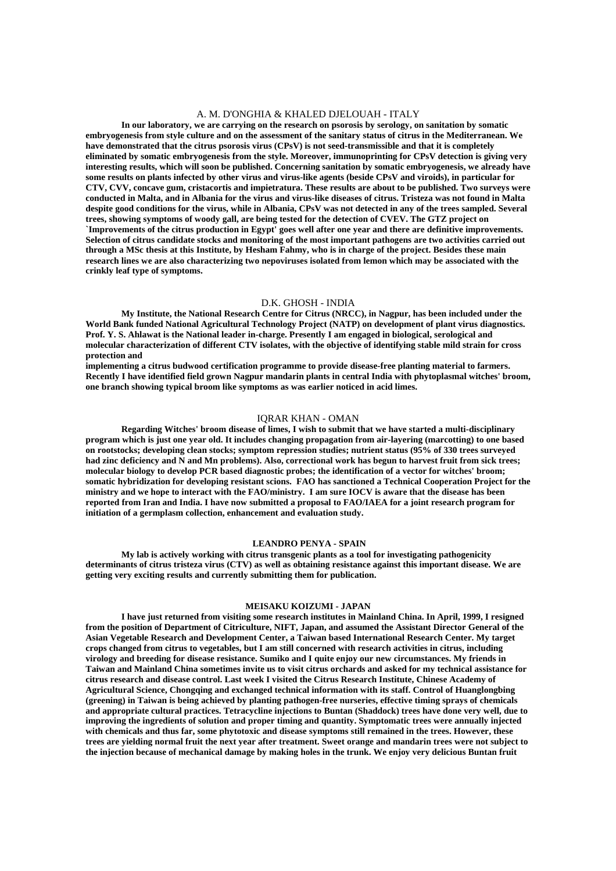# A. M. D'ONGHIA & KHALED DJELOUAH - ITALY

 **In our laboratory, we are carrying on the research on psorosis by serology, on sanitation by somatic embryogenesis from style culture and on the assessment of the sanitary status of citrus in the Mediterranean. We have demonstrated that the citrus psorosis virus (CPsV) is not seed-transmissible and that it is completely eliminated by somatic embryogenesis from the style. Moreover, immunoprinting for CPsV detection is giving very interesting results, which will soon be published. Concerning sanitation by somatic embryogenesis, we already have some results on plants infected by other virus and virus-like agents (beside CPsV and viroids), in particular for CTV, CVV, concave gum, cristacortis and impietratura. These results are about to be published. Two surveys were conducted in Malta, and in Albania for the virus and virus-like diseases of citrus. Tristeza was not found in Malta despite good conditions for the virus, while in Albania, CPsV was not detected in any of the trees sampled. Several trees, showing symptoms of woody gall, are being tested for the detection of CVEV. The GTZ project on `Improvements of the citrus production in Egypt' goes well after one year and there are definitive improvements. Selection of citrus candidate stocks and monitoring of the most important pathogens are two activities carried out through a MSc thesis at this Institute, by Hesham Fahmy, who is in charge of the project. Besides these main research lines we are also characterizing two nepoviruses isolated from lemon which may be associated with the crinkly leaf type of symptoms.** 

# D.K. GHOSH - INDIA

 **My Institute, the National Research Centre for Citrus (NRCC), in Nagpur, has been included under the World Bank funded National Agricultural Technology Project (NATP) on development of plant virus diagnostics. Prof. Y. S. Ahlawat is the National leader in-charge. Presently I am engaged in biological, serological and molecular characterization of different CTV isolates, with the objective of identifying stable mild strain for cross protection and** 

**implementing a citrus budwood certification programme to provide disease-free planting material to farmers. Recently I have identified field grown Nagpur mandarin plants in central India with phytoplasmal witches' broom, one branch showing typical broom like symptoms as was earlier noticed in acid limes.** 

# IQRAR KHAN - OMAN

 **Regarding Witches' broom disease of limes, I wish to submit that we have started a multi-disciplinary program which is just one year old. It includes changing propagation from air-layering (marcotting) to one based on rootstocks; developing clean stocks; symptom repression studies; nutrient status (95% of 330 trees surveyed had zinc deficiency and N and Mn problems). Also, correctional work has begun to harvest fruit from sick trees; molecular biology to develop PCR based diagnostic probes; the identification of a vector for witches' broom; somatic hybridization for developing resistant scions. FAO has sanctioned a Technical Cooperation Project for the ministry and we hope to interact with the FAO/ministry. I am sure IOCV is aware that the disease has been reported from Iran and India. I have now submitted a proposal to FAO/IAEA for a joint research program for initiation of a germplasm collection, enhancement and evaluation study.** 

## **LEANDRO PENYA - SPAIN**

 **My lab is actively working with citrus transgenic plants as a tool for investigating pathogenicity determinants of citrus tristeza virus (CTV) as well as obtaining resistance against this important disease. We are getting very exciting results and currently submitting them for publication.** 

## **MEISAKU KOIZUMI - JAPAN**

 **I have just returned from visiting some research institutes in Mainland China. In April, 1999, I resigned from the position of Department of Citriculture, NIFT, Japan, and assumed the Assistant Director General of the Asian Vegetable Research and Development Center, a Taiwan based International Research Center. My target crops changed from citrus to vegetables, but I am still concerned with research activities in citrus, including virology and breeding for disease resistance. Sumiko and I quite enjoy our new circumstances. My friends in Taiwan and Mainland China sometimes invite us to visit citrus orchards and asked for my technical assistance for citrus research and disease control. Last week I visited the Citrus Research Institute, Chinese Academy of Agricultural Science, Chongqing and exchanged technical information with its staff. Control of Huanglongbing (greening) in Taiwan is being achieved by planting pathogen-free nurseries, effective timing sprays of chemicals and appropriate cultural practices. Tetracycline injections to Buntan (Shaddock) trees have done very well, due to improving the ingredients of solution and proper timing and quantity. Symptomatic trees were annually injected with chemicals and thus far, some phytotoxic and disease symptoms still remained in the trees. However, these trees are yielding normal fruit the next year after treatment. Sweet orange and mandarin trees were not subject to the injection because of mechanical damage by making holes in the trunk. We enjoy very delicious Buntan fruit**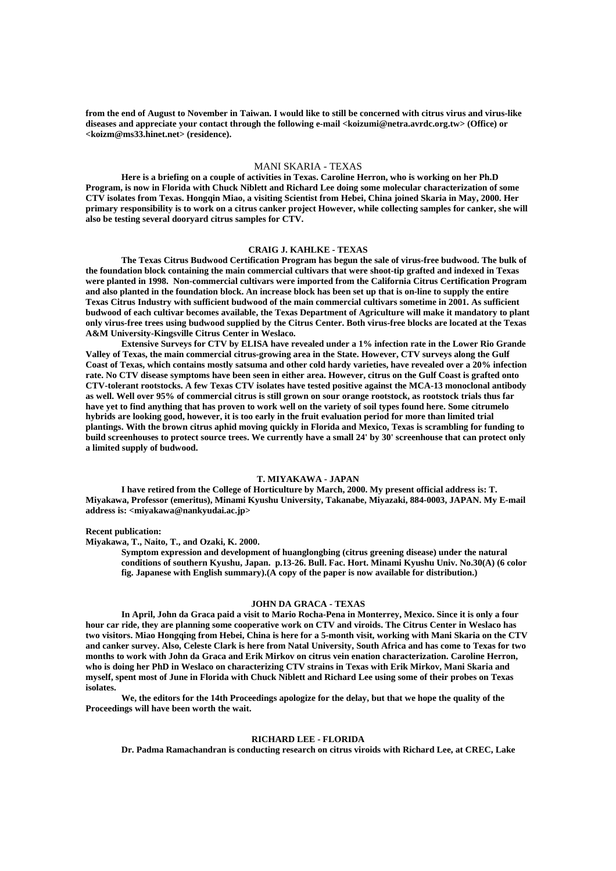**from the end of August to November in Taiwan. I would like to still be concerned with citrus virus and virus-like diseases and appreciate your contact through the following e-mail <koizumi@netra.avrdc.org.tw> (Office) or <koizm@ms33.hinet.net> (residence).** 

# MANI SKARIA - TEXAS

 **Here is a briefing on a couple of activities in Texas. Caroline Herron, who is working on her Ph.D Program, is now in Florida with Chuck Niblett and Richard Lee doing some molecular characterization of some CTV isolates from Texas. Hongqin Miao, a visiting Scientist from Hebei, China joined Skaria in May, 2000. Her primary responsibility is to work on a citrus canker project However, while collecting samples for canker, she will also be testing several dooryard citrus samples for CTV.** 

# **CRAIG J. KAHLKE - TEXAS**

 **The Texas Citrus Budwood Certification Program has begun the sale of virus-free budwood. The bulk of the foundation block containing the main commercial cultivars that were shoot-tip grafted and indexed in Texas were planted in 1998. Non-commercial cultivars were imported from the California Citrus Certification Program and also planted in the foundation block. An increase block has been set up that is on-line to supply the entire Texas Citrus Industry with sufficient budwood of the main commercial cultivars sometime in 2001. As sufficient budwood of each cultivar becomes available, the Texas Department of Agriculture will make it mandatory to plant only virus-free trees using budwood supplied by the Citrus Center. Both virus-free blocks are located at the Texas A&M University-Kingsville Citrus Center in Weslaco.** 

 **Extensive Surveys for CTV by ELISA have revealed under a 1% infection rate in the Lower Rio Grande Valley of Texas, the main commercial citrus-growing area in the State. However, CTV surveys along the Gulf Coast of Texas, which contains mostly satsuma and other cold hardy varieties, have revealed over a 20% infection rate. No CTV disease symptoms have been seen in either area. However, citrus on the Gulf Coast is grafted onto CTV-tolerant rootstocks. A few Texas CTV isolates have tested positive against the MCA-13 monoclonal antibody as well. Well over 95% of commercial citrus is still grown on sour orange rootstock, as rootstock trials thus far have yet to find anything that has proven to work well on the variety of soil types found here. Some citrumelo hybrids are looking good, however, it is too early in the fruit evaluation period for more than limited trial plantings. With the brown citrus aphid moving quickly in Florida and Mexico, Texas is scrambling for funding to build screenhouses to protect source trees. We currently have a small 24' by 30' screenhouse that can protect only a limited supply of budwood.** 

# **T. MIYAKAWA - JAPAN**

 **I have retired from the College of Horticulture by March, 2000. My present official address is: T. Miyakawa, Professor (emeritus), Minami Kyushu University, Takanabe, Miyazaki, 884-0003, JAPAN. My E-mail address is: <miyakawa@nankyudai.ac.jp>** 

#### **Recent publication:**

**Miyakawa, T., Naito, T., and Ozaki, K. 2000.** 

**Symptom expression and development of huanglongbing (citrus greening disease) under the natural conditions of southern Kyushu, Japan. p.13-26. Bull. Fac. Hort. Minami Kyushu Univ. No.30(A) (6 color fig. Japanese with English summary).(A copy of the paper is now available for distribution.)** 

# **JOHN DA GRACA - TEXAS**

 **In April, John da Graca paid a visit to Mario Rocha-Pena in Monterrey, Mexico. Since it is only a four hour car ride, they are planning some cooperative work on CTV and viroids. The Citrus Center in Weslaco has two visitors. Miao Hongqing from Hebei, China is here for a 5-month visit, working with Mani Skaria on the CTV and canker survey. Also, Celeste Clark is here from Natal University, South Africa and has come to Texas for two months to work with John da Graca and Erik Mirkov on citrus vein enation characterization. Caroline Herron, who is doing her PhD in Weslaco on characterizing CTV strains in Texas with Erik Mirkov, Mani Skaria and myself, spent most of June in Florida with Chuck Niblett and Richard Lee using some of their probes on Texas isolates.** 

 **We, the editors for the 14th Proceedings apologize for the delay, but that we hope the quality of the Proceedings will have been worth the wait.** 

# **RICHARD LEE - FLORIDA**

 **Dr. Padma Ramachandran is conducting research on citrus viroids with Richard Lee, at CREC, Lake**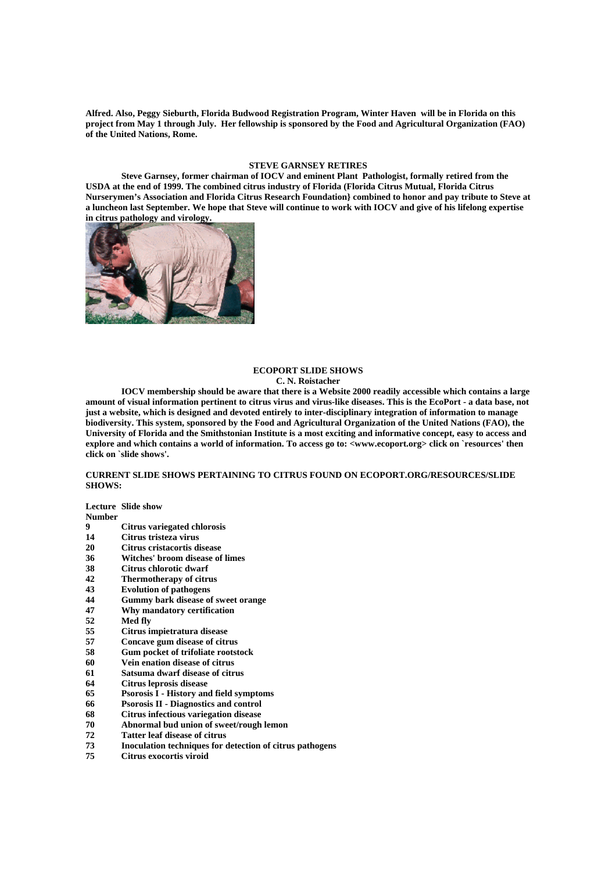**Alfred. Also, Peggy Sieburth, Florida Budwood Registration Program, Winter Haven will be in Florida on this project from May 1 through July. Her fellowship is sponsored by the Food and Agricultural Organization (FAO) of the United Nations, Rome.** 

# **STEVE GARNSEY RETIRES**

 **Steve Garnsey, former chairman of IOCV and eminent Plant Pathologist, formally retired from the USDA at the end of 1999. The combined citrus industry of Florida (Florida Citrus Mutual, Florida Citrus Nurserymen's Association and Florida Citrus Research Foundation} combined to honor and pay tribute to Steve at a luncheon last September. We hope that Steve will continue to work with IOCV and give of his lifelong expertise in citrus pathology and virology.** 



# **ECOPORT SLIDE SHOWS**

# **C. N. Roistacher**

 **IOCV membership should be aware that there is a Website 2000 readily accessible which contains a large amount of visual information pertinent to citrus virus and virus-like diseases. This is the EcoPort - a data base, not just a website, which is designed and devoted entirely to inter-disciplinary integration of information to manage biodiversity. This system, sponsored by the Food and Agricultural Organization of the United Nations (FAO), the University of Florida and the Smithstonian Institute is a most exciting and informative concept, easy to access and explore and which contains a world of information. To access go to: <www.ecoport.org> click on `resources' then click on `slide shows'.** 

# **CURRENT SLIDE SHOWS PERTAINING TO CITRUS FOUND ON ECOPORT.ORG/RESOURCES/SLIDE SHOWS:**

**Lecture Slide show** 

**Number** 

- **9 Citrus variegated chlorosis**
- **14 Citrus tristeza virus**
- **20 Citrus cristacortis disease**
- **36 Witches' broom disease of limes**
- **38 Citrus chlorotic dwarf**
- **42 Thermotherapy of citrus**
- **43 Evolution of pathogens**
- **44 Gummy bark disease of sweet orange**
- **47 Why mandatory certification**
- **52 Med fly**
- **55 Citrus impietratura disease**
- **57 Concave gum disease of citrus**
- **58 Gum pocket of trifoliate rootstock**
- **60 Vein enation disease of citrus**
- **61 Satsuma dwarf disease of citrus**
- **64 Citrus leprosis disease**
- **65 Psorosis I History and field symptoms**
- **66 Psorosis II Diagnostics and control**
- **68 Citrus infectious variegation disease**
- **70 Abnormal bud union of sweet/rough lemon**
- **72 Tatter leaf disease of citrus**
- **73 Inoculation techniques for detection of citrus pathogens**
- **75 Citrus exocortis viroid**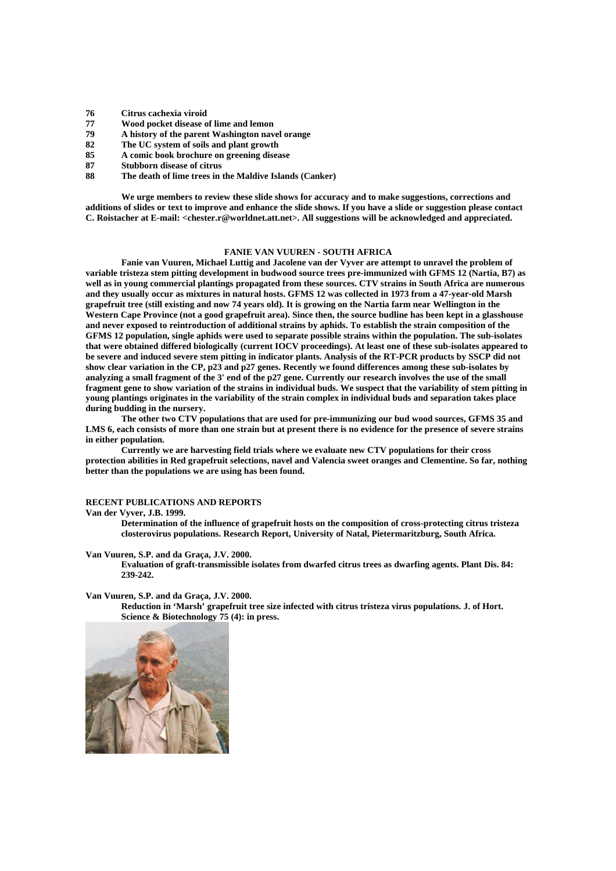- **76 Citrus cachexia viroid**
- **77 Wood pocket disease of lime and lemon**
- **79 A history of the parent Washington navel orange**
- **82 The UC system of soils and plant growth**
- **85 A comic book brochure on greening disease**
- **87 Stubborn disease of citrus**
- **88 The death of lime trees in the Maldive Islands (Canker)**

 **We urge members to review these slide shows for accuracy and to make suggestions, corrections and additions of slides or text to improve and enhance the slide shows. If you have a slide or suggestion please contact C. Roistacher at E-mail: <chester.r@worldnet.att.net>. All suggestions will be acknowledged and appreciated.** 

#### **FANIE VAN VUUREN - SOUTH AFRICA**

 **Fanie van Vuuren, Michael Luttig and Jacolene van der Vyver are attempt to unravel the problem of variable tristeza stem pitting development in budwood source trees pre-immunized with GFMS 12 (Nartia, B7) as well as in young commercial plantings propagated from these sources. CTV strains in South Africa are numerous and they usually occur as mixtures in natural hosts. GFMS 12 was collected in 1973 from a 47-year-old Marsh grapefruit tree (still existing and now 74 years old). It is growing on the Nartia farm near Wellington in the Western Cape Province (not a good grapefruit area). Since then, the source budline has been kept in a glasshouse and never exposed to reintroduction of additional strains by aphids. To establish the strain composition of the GFMS 12 population, single aphids were used to separate possible strains within the population. The sub-isolates that were obtained differed biologically (current IOCV proceedings). At least one of these sub-isolates appeared to be severe and induced severe stem pitting in indicator plants. Analysis of the RT-PCR products by SSCP did not show clear variation in the CP, p23 and p27 genes. Recently we found differences among these sub-isolates by analyzing a small fragment of the 3' end of the p27 gene. Currently our research involves the use of the small fragment gene to show variation of the strains in individual buds. We suspect that the variability of stem pitting in young plantings originates in the variability of the strain complex in individual buds and separation takes place during budding in the nursery.** 

 **The other two CTV populations that are used for pre-immunizing our bud wood sources, GFMS 35 and LMS 6, each consists of more than one strain but at present there is no evidence for the presence of severe strains in either population.** 

 **Currently we are harvesting field trials where we evaluate new CTV populations for their cross protection abilities in Red grapefruit selections, navel and Valencia sweet oranges and Clementine. So far, nothing better than the populations we are using has been found.** 

# **RECENT PUBLICATIONS AND REPORTS**

# **Van der Vyver, J.B. 1999.**

**Determination of the influence of grapefruit hosts on the composition of cross-protecting citrus tristeza closterovirus populations. Research Report, University of Natal, Pietermaritzburg, South Africa.** 

**Van Vuuren, S.P. and da Graça, J.V. 2000.** 

**Evaluation of graft-transmissible isolates from dwarfed citrus trees as dwarfing agents. Plant Dis. 84: 239-242.** 

**Van Vuuren, S.P. and da Graça, J.V. 2000.** 

**Reduction in 'Marsh' grapefruit tree size infected with citrus tristeza virus populations. J. of Hort. Science & Biotechnology 75 (4): in press.** 

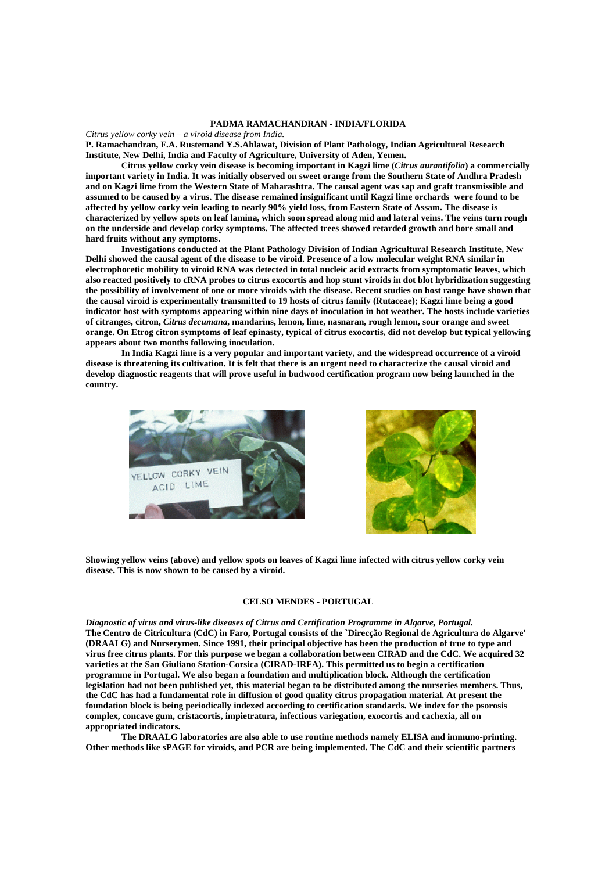#### **PADMA RAMACHANDRAN - INDIA/FLORIDA**

*Citrus yellow corky vein – a viroid disease from India.* **P. Ramachandran, F.A. Rustemand Y.S.Ahlawat, Division of Plant Pathology, Indian Agricultural Research Institute, New Delhi, India and Faculty of Agriculture, University of Aden, Yemen.** 

 **Citrus yellow corky vein disease is becoming important in Kagzi lime (***Citrus aurantifolia***) a commercially important variety in India. It was initially observed on sweet orange from the Southern State of Andhra Pradesh and on Kagzi lime from the Western State of Maharashtra. The causal agent was sap and graft transmissible and assumed to be caused by a virus. The disease remained insignificant until Kagzi lime orchards were found to be affected by yellow corky vein leading to nearly 90% yield loss, from Eastern State of Assam. The disease is characterized by yellow spots on leaf lamina, which soon spread along mid and lateral veins. The veins turn rough on the underside and develop corky symptoms. The affected trees showed retarded growth and bore small and hard fruits without any symptoms.** 

 **Investigations conducted at the Plant Pathology Division of Indian Agricultural Research Institute, New Delhi showed the causal agent of the disease to be viroid. Presence of a low molecular weight RNA similar in electrophoretic mobility to viroid RNA was detected in total nucleic acid extracts from symptomatic leaves, which also reacted positively to cRNA probes to citrus exocortis and hop stunt viroids in dot blot hybridization suggesting the possibility of involvement of one or more viroids with the disease. Recent studies on host range have shown that the causal viroid is experimentally transmitted to 19 hosts of citrus family (Rutaceae); Kagzi lime being a good indicator host with symptoms appearing within nine days of inoculation in hot weather. The hosts include varieties of citranges, citron,** *Citrus decumana***, mandarins, lemon, lime, nasnaran, rough lemon, sour orange and sweet orange. On Etrog citron symptoms of leaf epinasty, typical of citrus exocortis, did not develop but typical yellowing appears about two months following inoculation.** 

 **In India Kagzi lime is a very popular and important variety, and the widespread occurrence of a viroid disease is threatening its cultivation. It is felt that there is an urgent need to characterize the causal viroid and develop diagnostic reagents that will prove useful in budwood certification program now being launched in the country.** 





**Showing yellow veins (above) and yellow spots on leaves of Kagzi lime infected with citrus yellow corky vein disease. This is now shown to be caused by a viroid.** 

# **CELSO MENDES - PORTUGAL**

*Diagnostic of virus and virus-like diseases of Citrus and Certification Programme in Algarve, Portugal.*  **The Centro de Citricultura (CdC) in Faro, Portugal consists of the `Direcção Regional de Agricultura do Algarve' (DRAALG) and Nurserymen. Since 1991, their principal objective has been the production of true to type and virus free citrus plants. For this purpose we began a collaboration between CIRAD and the CdC. We acquired 32 varieties at the San Giuliano Station-Corsica (CIRAD-IRFA). This permitted us to begin a certification programme in Portugal. We also began a foundation and multiplication block. Although the certification legislation had not been published yet, this material began to be distributed among the nurseries members. Thus, the CdC has had a fundamental role in diffusion of good quality citrus propagation material. At present the foundation block is being periodically indexed according to certification standards. We index for the psorosis complex, concave gum, cristacortis, impietratura, infectious variegation, exocortis and cachexia, all on appropriated indicators.** 

 **The DRAALG laboratories are also able to use routine methods namely ELISA and immuno-printing. Other methods like sPAGE for viroids, and PCR are being implemented. The CdC and their scientific partners**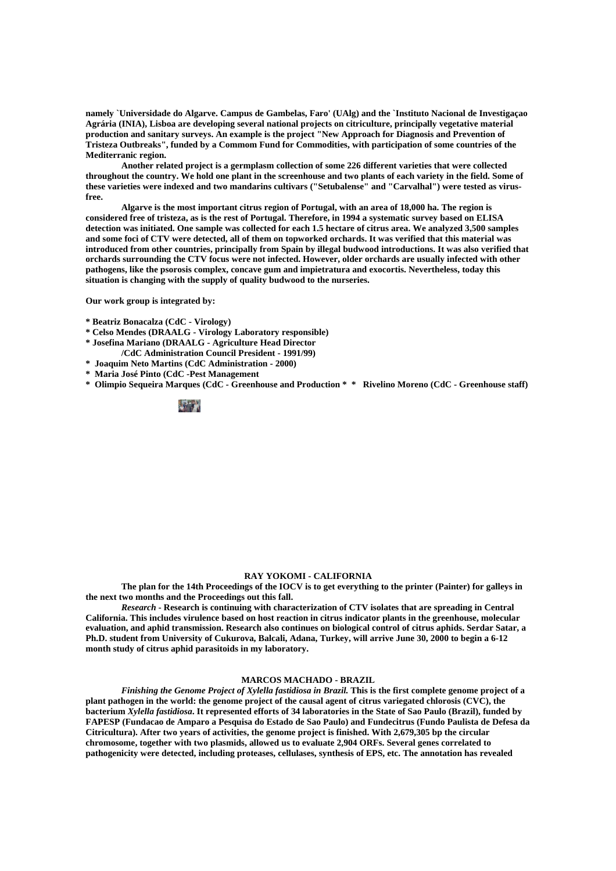**namely `Universidade do Algarve. Campus de Gambelas, Faro' (UAlg) and the `Instituto Nacional de Investigaçao Agrária (INIA), Lisboa are developing several national projects on citriculture, principally vegetative material production and sanitary surveys. An example is the project "New Approach for Diagnosis and Prevention of Tristeza Outbreaks", funded by a Commom Fund for Commodities, with participation of some countries of the Mediterranic region.** 

 **Another related project is a germplasm collection of some 226 different varieties that were collected throughout the country. We hold one plant in the screenhouse and two plants of each variety in the field. Some of these varieties were indexed and two mandarins cultivars ("Setubalense" and "Carvalhal") were tested as virusfree.** 

 **Algarve is the most important citrus region of Portugal, with an area of 18,000 ha. The region is considered free of tristeza, as is the rest of Portugal. Therefore, in 1994 a systematic survey based on ELISA detection was initiated. One sample was collected for each 1.5 hectare of citrus area. We analyzed 3,500 samples and some foci of CTV were detected, all of them on topworked orchards. It was verified that this material was introduced from other countries, principally from Spain by illegal budwood introductions. It was also verified that orchards surrounding the CTV focus were not infected. However, older orchards are usually infected with other pathogens, like the psorosis complex, concave gum and impietratura and exocortis. Nevertheless, today this situation is changing with the supply of quality budwood to the nurseries.** 

**Our work group is integrated by:** 

**\* Beatriz Bonacalza (CdC - Virology)** 

- **\* Celso Mendes (DRAALG Virology Laboratory responsible)**
- **\* Josefina Mariano (DRAALG Agriculture Head Director**
- **/CdC Administration Council President 1991/99)**
- **\* Joaquim Neto Martins (CdC Administration 2000)**
- **\* Maria José Pinto (CdC -Pest Management**
- **\* Olimpio Sequeira Marques (CdC Greenhouse and Production \* \* Rivelino Moreno (CdC Greenhouse staff)**



# **RAY YOKOMI - CALIFORNIA**

 **The plan for the 14th Proceedings of the IOCV is to get everything to the printer (Painter) for galleys in the next two months and the Proceedings out this fall.** 

*Research* **- Research is continuing with characterization of CTV isolates that are spreading in Central California. This includes virulence based on host reaction in citrus indicator plants in the greenhouse, molecular evaluation, and aphid transmission. Research also continues on biological control of citrus aphids. Serdar Satar, a Ph.D. student from University of Cukurova, Balcali, Adana, Turkey, will arrive June 30, 2000 to begin a 6-12 month study of citrus aphid parasitoids in my laboratory.** 

# **MARCOS MACHADO - BRAZIL**

 *Finishing the Genome Project of Xylella fastidiosa in Brazil.* **This is the first complete genome project of a plant pathogen in the world: the genome project of the causal agent of citrus variegated chlorosis (CVC), the bacterium** *Xylella fastidiosa***. It represented efforts of 34 laboratories in the State of Sao Paulo (Brazil), funded by FAPESP (Fundacao de Amparo a Pesquisa do Estado de Sao Paulo) and Fundecitrus (Fundo Paulista de Defesa da Citricultura). After two years of activities, the genome project is finished. With 2,679,305 bp the circular chromosome, together with two plasmids, allowed us to evaluate 2,904 ORFs. Several genes correlated to pathogenicity were detected, including proteases, cellulases, synthesis of EPS, etc. The annotation has revealed**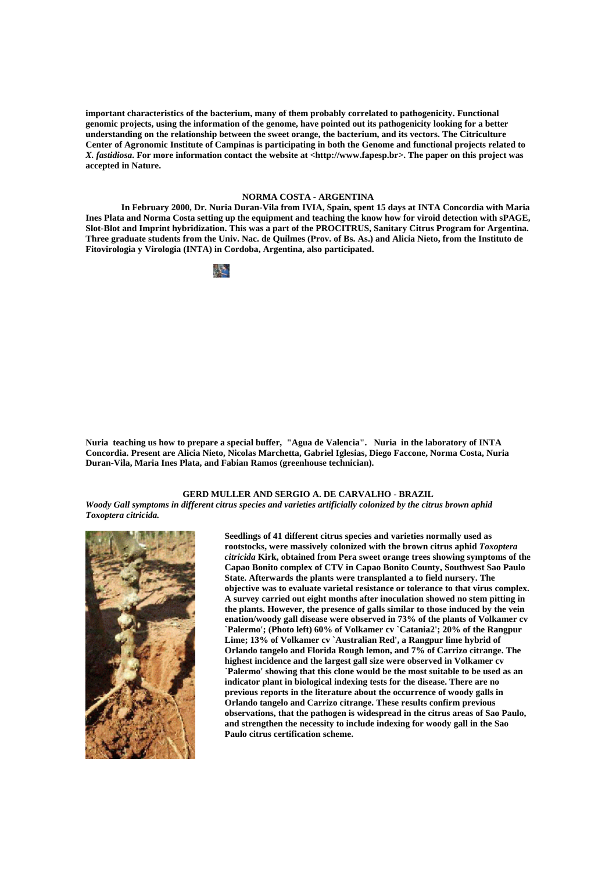**important characteristics of the bacterium, many of them probably correlated to pathogenicity. Functional genomic projects, using the information of the genome, have pointed out its pathogenicity looking for a better understanding on the relationship between the sweet orange, the bacterium, and its vectors. The Citriculture Center of Agronomic Institute of Campinas is participating in both the Genome and functional projects related to**  *X. fastidiosa***. For more information contact the website at <http://www.fapesp.br>. The paper on this project was accepted in Nature.** 

## **NORMA COSTA - ARGENTINA**

 **In February 2000, Dr. Nuria Duran-Vila from IVIA, Spain, spent 15 days at INTA Concordia with Maria Ines Plata and Norma Costa setting up the equipment and teaching the know how for viroid detection with sPAGE, Slot-Blot and Imprint hybridization. This was a part of the PROCITRUS, Sanitary Citrus Program for Argentina. Three graduate students from the Univ. Nac. de Quilmes (Prov. of Bs. As.) and Alicia Nieto, from the Instituto de Fitovirologia y Virologia (INTA) in Cordoba, Argentina, also participated.** 



**Nuria teaching us how to prepare a special buffer, "Agua de Valencia". Nuria in the laboratory of INTA Concordia. Present are Alicia Nieto, Nicolas Marchetta, Gabriel Iglesias, Diego Faccone, Norma Costa, Nuria Duran-Vila, Maria Ines Plata, and Fabian Ramos (greenhouse technician).** 

# **GERD MULLER AND SERGIO A. DE CARVALHO - BRAZIL**

*Woody Gall symptoms in different citrus species and varieties artificially colonized by the citrus brown aphid Toxoptera citricida.* 



**Seedlings of 41 different citrus species and varieties normally used as rootstocks, were massively colonized with the brown citrus aphid** *Toxoptera citricida* **Kirk, obtained from Pera sweet orange trees showing symptoms of the Capao Bonito complex of CTV in Capao Bonito County, Southwest Sao Paulo State. Afterwards the plants were transplanted a to field nursery. The objective was to evaluate varietal resistance or tolerance to that virus complex. A survey carried out eight months after inoculation showed no stem pitting in the plants. However, the presence of galls similar to those induced by the vein enation/woody gall disease were observed in 73% of the plants of Volkamer cv `Palermo'; (Photo left) 60% of Volkamer cv `Catania2'; 20% of the Rangpur Lime; 13% of Volkamer cv `Australian Red', a Rangpur lime hybrid of Orlando tangelo and Florida Rough lemon, and 7% of Carrizo citrange. The highest incidence and the largest gall size were observed in Volkamer cv `Palermo' showing that this clone would be the most suitable to be used as an indicator plant in biological indexing tests for the disease. There are no previous reports in the literature about the occurrence of woody galls in Orlando tangelo and Carrizo citrange. These results confirm previous observations, that the pathogen is widespread in the citrus areas of Sao Paulo, and strengthen the necessity to include indexing for woody gall in the Sao Paulo citrus certification scheme.**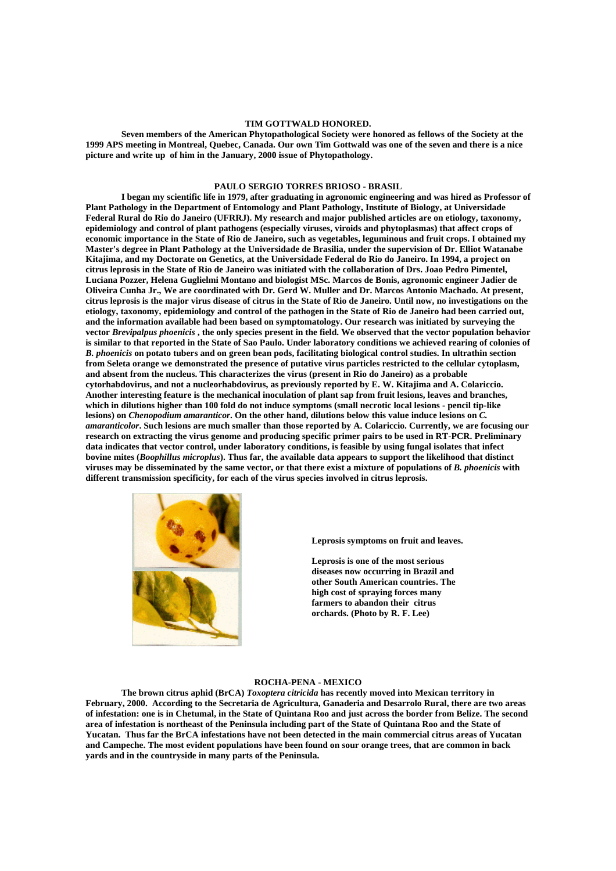# **TIM GOTTWALD HONORED.**

 **Seven members of the American Phytopathological Society were honored as fellows of the Society at the 1999 APS meeting in Montreal, Quebec, Canada. Our own Tim Gottwald was one of the seven and there is a nice picture and write up of him in the January, 2000 issue of Phytopathology.** 

# **PAULO SERGIO TORRES BRIOSO - BRASIL**

 **I began my scientific life in 1979, after graduating in agronomic engineering and was hired as Professor of Plant Pathology in the Department of Entomology and Plant Pathology, Institute of Biology, at Universidade Federal Rural do Rio do Janeiro (UFRRJ). My research and major published articles are on etiology, taxonomy, epidemiology and control of plant pathogens (especially viruses, viroids and phytoplasmas) that affect crops of economic importance in the State of Rio de Janeiro, such as vegetables, leguminous and fruit crops. I obtained my Master's degree in Plant Pathology at the Universidade de Brasilia, under the supervision of Dr. Elliot Watanabe Kitajima, and my Doctorate on Genetics, at the Universidade Federal do Rio do Janeiro. In 1994, a project on citrus leprosis in the State of Rio de Janeiro was initiated with the collaboration of Drs. Joao Pedro Pimentel, Luciana Pozzer, Helena Guglielmi Montano and biologist MSc. Marcos de Bonis, agronomic engineer Jadier de Oliveira Cunha Jr., We are coordinated with Dr. Gerd W. Muller and Dr. Marcos Antonio Machado. At present, citrus leprosis is the major virus disease of citrus in the State of Rio de Janeiro. Until now, no investigations on the etiology, taxonomy, epidemiology and control of the pathogen in the State of Rio de Janeiro had been carried out, and the information available had been based on symptomatology. Our research was initiated by surveying the vector** *Brevipalpus phoenicis* **, the only species present in the field. We observed that the vector population behavior is similar to that reported in the State of Sao Paulo. Under laboratory conditions we achieved rearing of colonies of**  *B. phoenicis* **on potato tubers and on green bean pods, facilitating biological control studies. In ultrathin section from Seleta orange we demonstrated the presence of putative virus particles restricted to the cellular cytoplasm, and absent from the nucleus. This characterizes the virus (present in Rio do Janeiro) as a probable cytorhabdovirus, and not a nucleorhabdovirus, as previously reported by E. W. Kitajima and A. Colariccio. Another interesting feature is the mechanical inoculation of plant sap from fruit lesions, leaves and branches, which in dilutions higher than 100 fold do not induce symptoms (small necrotic local lesions - pencil tip-like lesions) on** *Chenopodium amaranticor***. On the other hand, dilutions below this value induce lesions on** *C. amaranticolor***. Such lesions are much smaller than those reported by A. Colariccio. Currently, we are focusing our research on extracting the virus genome and producing specific primer pairs to be used in RT-PCR. Preliminary data indicates that vector control, under laboratory conditions, is feasible by using fungal isolates that infect bovine mites (***Boophillus microplus***). Thus far, the available data appears to support the likelihood that distinct viruses may be disseminated by the same vector, or that there exist a mixture of populations of** *B. phoenicis* **with different transmission specificity, for each of the virus species involved in citrus leprosis.** 



**Leprosis symptoms on fruit and leaves.** 

**Leprosis is one of the most serious diseases now occurring in Brazil and other South American countries. The high cost of spraying forces many farmers to abandon their citrus orchards. (Photo by R. F. Lee)** 

#### **ROCHA-PENA - MEXICO**

 **The brown citrus aphid (BrCA)** *Toxoptera citricida* **has recently moved into Mexican territory in February, 2000. According to the Secretaria de Agricultura, Ganaderia and Desarrolo Rural, there are two areas of infestation: one is in Chetumal, in the State of Quintana Roo and just across the border from Belize. The second area of infestation is northeast of the Peninsula including part of the State of Quintana Roo and the State of Yucatan. Thus far the BrCA infestations have not been detected in the main commercial citrus areas of Yucatan and Campeche. The most evident populations have been found on sour orange trees, that are common in back yards and in the countryside in many parts of the Peninsula.**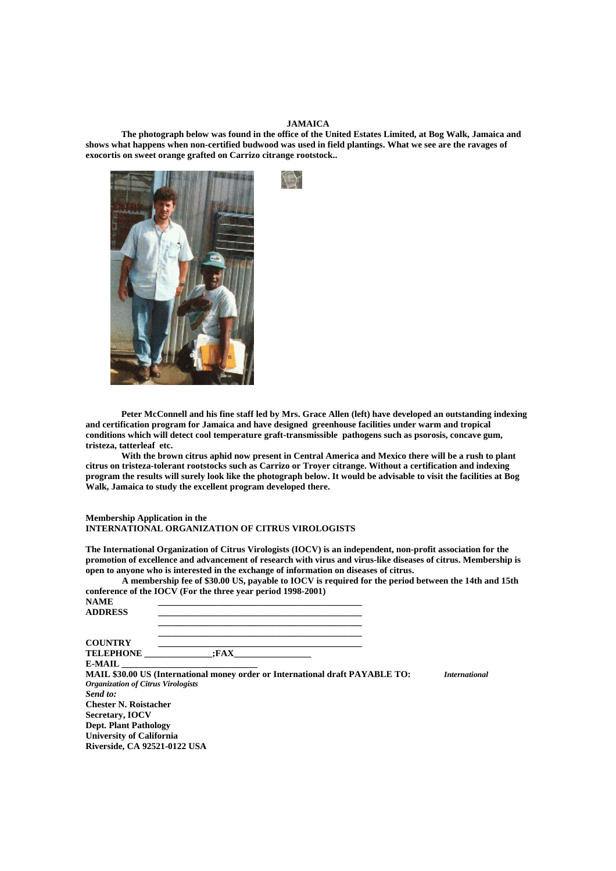# **JAMAICA**

 **The photograph below was found in the office of the United Estates Limited, at Bog Walk, Jamaica and shows what happens when non-certified budwood was used in field plantings. What we see are the ravages of exocortis on sweet orange grafted on Carrizo citrange rootstock..** 



 **Peter McConnell and his fine staff led by Mrs. Grace Allen (left) have developed an outstanding indexing and certification program for Jamaica and have designed greenhouse facilities under warm and tropical conditions which will detect cool temperature graft-transmissible pathogens such as psorosis, concave gum, tristeza, tatterleaf etc.** 

 **With the brown citrus aphid now present in Central America and Mexico there will be a rush to plant citrus on tristeza-tolerant rootstocks such as Carrizo or Troyer citrange. Without a certification and indexing program the results will surely look like the photograph below. It would be advisable to visit the facilities at Bog Walk, Jamaica to study the excellent program developed there.** 

# **Membership Application in the INTERNATIONAL ORGANIZATION OF CITRUS VIROLOGISTS**

**Riverside, CA 92521-0122 USA** 

**The International Organization of Citrus Virologists (IOCV) is an independent, non-profit association for the promotion of excellence and advancement of research with virus and virus-like diseases of citrus. Membership is open to anyone who is interested in the exchange of information on diseases of citrus.** 

|                                                              | A membership fee of \$30.00 US, payable to IOCV is required for the period between the 14th and 15th |  |  |
|--------------------------------------------------------------|------------------------------------------------------------------------------------------------------|--|--|
| conference of the IOCV (For the three year period 1998-2001) |                                                                                                      |  |  |

| <b>NAME</b><br><b>ADDRESS</b>             |                                                                               |                      |
|-------------------------------------------|-------------------------------------------------------------------------------|----------------------|
| <b>COUNTRY</b>                            |                                                                               |                      |
| <b>TELEPHONE</b>                          | :FAX                                                                          |                      |
| <b>E-MAIL</b>                             |                                                                               |                      |
|                                           | MAIL \$30.00 US (International money order or International draft PAYABLE TO: | <i>International</i> |
| <b>Organization of Citrus Virologists</b> |                                                                               |                      |
| Send to:                                  |                                                                               |                      |
| <b>Chester N. Roistacher</b>              |                                                                               |                      |
| Secretary, <b>IOCV</b>                    |                                                                               |                      |
| <b>Dept. Plant Pathology</b>              |                                                                               |                      |
| <b>University of California</b>           |                                                                               |                      |